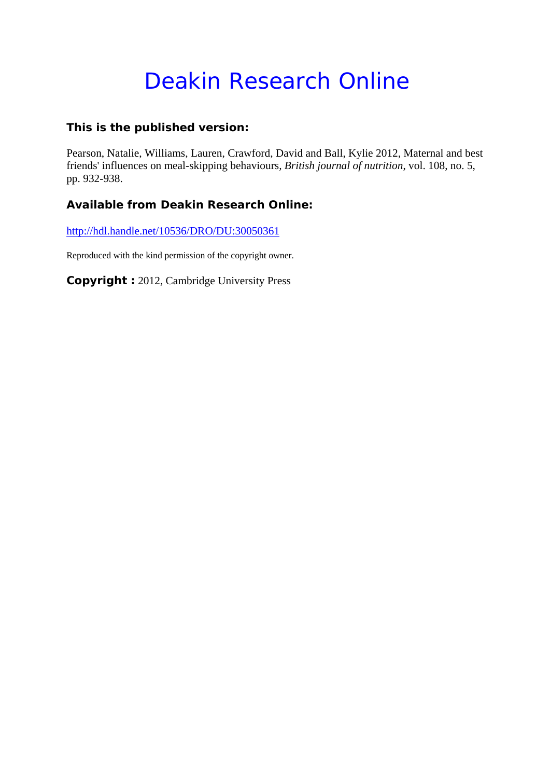# Deakin Research Online

### **This is the published version:**

Pearson, Natalie, Williams, Lauren, Crawford, David and Ball, Kylie 2012, Maternal and best friends' influences on meal-skipping behaviours*, British journal of nutrition*, vol. 108, no. 5, pp. 932-938.

## **Available from Deakin Research Online:**

http://hdl.handle.net/10536/DRO/DU:30050361

Reproduced with the kind permission of the copyright owner.

**Copyright :** 2012, Cambridge University Press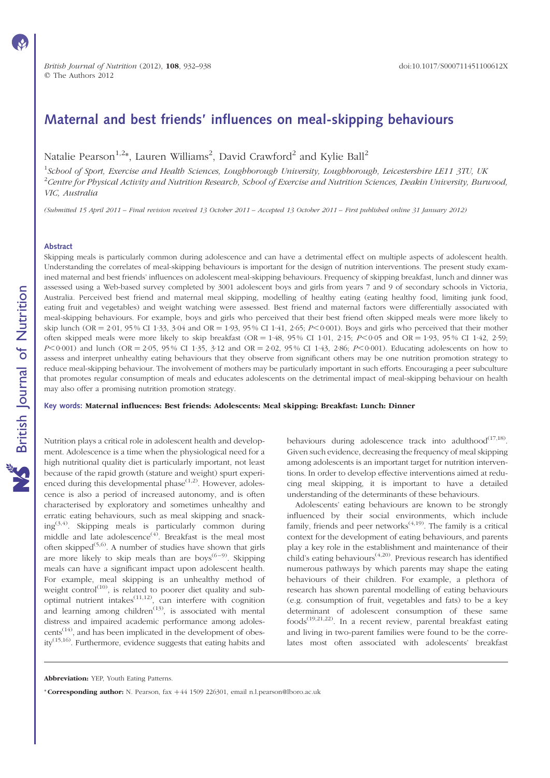## Maternal and best friends' influences on meal-skipping behaviours

Natalie Pearson $^{1,2*}$ , Lauren Williams $^2$ , David Crawford $^2$  and Kylie Ball $^2$ 

<sup>1</sup>School of Sport, Exercise and Health Sciences, Loughborough University, Loughborough, Leicestershire LE11 3TU, UK  $^2$ Centre for Physical Activity and Nutrition Research, School of Exercise and Nutrition Sciences, Deakin University, Burwood, VIC, Australia

(Submitted 15 April 2011 – Final revision received 13 October 2011 – Accepted 13 October 2011 – First published online 31 January 2012)

#### Abstract

Skipping meals is particularly common during adolescence and can have a detrimental effect on multiple aspects of adolescent health. Understanding the correlates of meal-skipping behaviours is important for the design of nutrition interventions. The present study examined maternal and best friends' influences on adolescent meal-skipping behaviours. Frequency of skipping breakfast, lunch and dinner was assessed using a Web-based survey completed by 3001 adolescent boys and girls from years 7 and 9 of secondary schools in Victoria, Australia. Perceived best friend and maternal meal skipping, modelling of healthy eating (eating healthy food, limiting junk food, eating fruit and vegetables) and weight watching were assessed. Best friend and maternal factors were differentially associated with meal-skipping behaviours. For example, boys and girls who perceived that their best friend often skipped meals were more likely to skip lunch (OR = 2·01, 95 % CI 1·33, 3·04 and OR = 1·93, 95 % CI 1·41, 2·65;  $P$ <0·001). Boys and girls who perceived that their mother often skipped meals were more likely to skip breakfast (OR = 1.48, 95% CI 1.01, 2.15;  $P \le 0.05$  and OR = 1.93, 95% CI 1.42, 2.59;  $P<0.001$ ) and lunch (OR = 2.05, 95% CI 1.35, 3.12 and OR = 2.02, 95% CI 1.43, 2.86;  $P<0.001$ ). Educating adolescents on how to assess and interpret unhealthy eating behaviours that they observe from significant others may be one nutrition promotion strategy to reduce meal-skipping behaviour. The involvement of mothers may be particularly important in such efforts. Encouraging a peer subculture that promotes regular consumption of meals and educates adolescents on the detrimental impact of meal-skipping behaviour on health may also offer a promising nutrition promotion strategy.

Key words: Maternal influences: Best friends: Adolescents: Meal skipping: Breakfast: Lunch: Dinner

Nutrition plays a critical role in adolescent health and development. Adolescence is a time when the physiological need for a high nutritional quality diet is particularly important, not least because of the rapid growth (stature and weight) spurt experienced during this developmental phase $(1,2)$ . However, adolescence is also a period of increased autonomy, and is often characterised by exploratory and sometimes unhealthy and erratic eating behaviours, such as meal skipping and snack $ing^{(3,4)}$ . Skipping meals is particularly common during middle and late adolescence<sup>(4)</sup>. Breakfast is the meal most often skipped<sup> $(5,6)$ </sup>. A number of studies have shown that girls are more likely to skip meals than are boys<sup> $(6-9)$ </sup>. Skipping meals can have a significant impact upon adolescent health. For example, meal skipping is an unhealthy method of weight control<sup> $(10)$ </sup>, is related to poorer diet quality and suboptimal nutrient intakes $^{(11,12)}$ , can interfere with cognition and learning among children<sup> $(13)$ </sup>, is associated with mental distress and impaired academic performance among adolescents<sup>(14)</sup>, and has been implicated in the development of obesity(15,16). Furthermore, evidence suggests that eating habits and behaviours during adolescence track into adulthood $^{(17,18)}$ . Given such evidence, decreasing the frequency of meal skipping among adolescents is an important target for nutrition interventions. In order to develop effective interventions aimed at reducing meal skipping, it is important to have a detailed understanding of the determinants of these behaviours.

Adolescents' eating behaviours are known to be strongly influenced by their social environments, which include family, friends and peer networks<sup> $(4,19)$ </sup>. The family is a critical context for the development of eating behaviours, and parents play a key role in the establishment and maintenance of their child's eating behaviours<sup> $(4,20)$ </sup>. Previous research has identified numerous pathways by which parents may shape the eating behaviours of their children. For example, a plethora of research has shown parental modelling of eating behaviours (e.g. consumption of fruit, vegetables and fats) to be a key determinant of adolescent consumption of these same foods(19,21,22). In a recent review, parental breakfast eating and living in two-parent families were found to be the correlates most often associated with adolescents' breakfast

\* Corresponding author: N. Pearson, fax  $+44$  1509 226301, email n.l.pearson@lboro.ac.uk

Abbreviation: YEP, Youth Eating Patterns.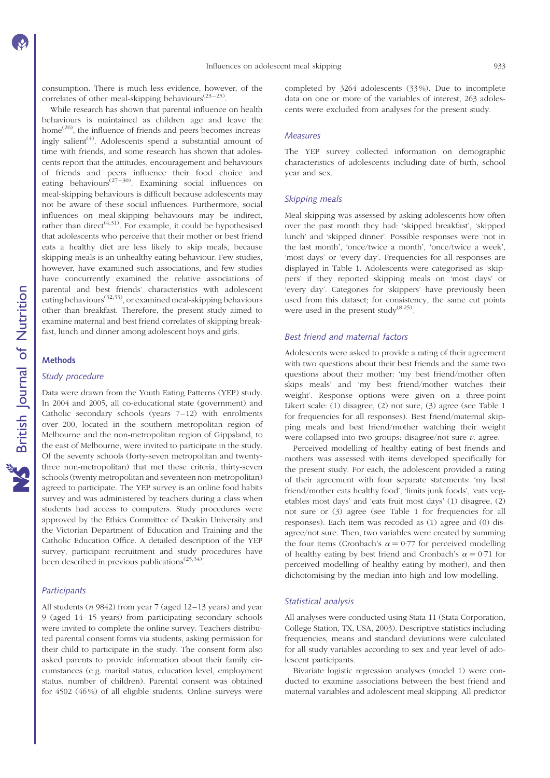consumption. There is much less evidence, however, of the correlates of other meal-skipping behaviours<sup> $(23-25)$ </sup>.

While research has shown that parental influence on health behaviours is maintained as children age and leave the home<sup> $(26)$ </sup>, the influence of friends and peers becomes increasingly salient<sup>(4)</sup>. Adolescents spend a substantial amount of time with friends, and some research has shown that adolescents report that the attitudes, encouragement and behaviours of friends and peers influence their food choice and eating behaviours<sup> $(27-30)$ </sup>. Examining social influences on meal-skipping behaviours is difficult because adolescents may not be aware of these social influences. Furthermore, social influences on meal-skipping behaviours may be indirect, rather than direct<sup> $(4,31)$ </sup>. For example, it could be hypothesised that adolescents who perceive that their mother or best friend eats a healthy diet are less likely to skip meals, because skipping meals is an unhealthy eating behaviour. Few studies, however, have examined such associations, and few studies have concurrently examined the relative associations of parental and best friends' characteristics with adolescent eating behaviours<sup> $(32,33)$ </sup>, or examined meal-skipping behaviours other than breakfast. Therefore, the present study aimed to examine maternal and best friend correlates of skipping breakfast, lunch and dinner among adolescent boys and girls.

#### **Methods**

#### Study procedure

Data were drawn from the Youth Eating Patterns (YEP) study. In 2004 and 2005, all co-educational state (government) and Catholic secondary schools (years  $7-12$ ) with enrolments over 200, located in the southern metropolitan region of Melbourne and the non-metropolitan region of Gippsland, to the east of Melbourne, were invited to participate in the study. Of the seventy schools (forty-seven metropolitan and twentythree non-metropolitan) that met these criteria, thirty-seven schools (twenty metropolitan and seventeen non-metropolitan) agreed to participate. The YEP survey is an online food habits survey and was administered by teachers during a class when students had access to computers. Study procedures were approved by the Ethics Committee of Deakin University and the Victorian Department of Education and Training and the Catholic Education Office. A detailed description of the YEP survey, participant recruitment and study procedures have been described in previous publications<sup> $(25,34)$ </sup>

#### **Participants**

All students ( $n$  9842) from year 7 (aged 12–13 years) and year 9 (aged 14– 15 years) from participating secondary schools were invited to complete the online survey. Teachers distributed parental consent forms via students, asking permission for their child to participate in the study. The consent form also asked parents to provide information about their family circumstances (e.g. marital status, education level, employment status, number of children). Parental consent was obtained for 4502 (46 %) of all eligible students. Online surveys were completed by 3264 adolescents (33 %). Due to incomplete data on one or more of the variables of interest, 263 adolescents were excluded from analyses for the present study.

#### Measures

The YEP survey collected information on demographic characteristics of adolescents including date of birth, school year and sex.

#### Skipping meals

Meal skipping was assessed by asking adolescents how often over the past month they had: 'skipped breakfast', 'skipped lunch' and 'skipped dinner'. Possible responses were 'not in the last month', 'once/twice a month', 'once/twice a week', 'most days' or 'every day'. Frequencies for all responses are displayed in Table 1. Adolescents were categorised as 'skippers' if they reported skipping meals on 'most days' or 'every day'. Categories for 'skippers' have previously been used from this dataset; for consistency, the same cut points were used in the present study<sup> $(8,25)$ </sup>.

#### Best friend and maternal factors

Adolescents were asked to provide a rating of their agreement with two questions about their best friends and the same two questions about their mother: 'my best friend/mother often skips meals' and 'my best friend/mother watches their weight'. Response options were given on a three-point Likert scale: (1) disagree, (2) not sure, (3) agree (see Table 1 for frequencies for all responses). Best friend/maternal skipping meals and best friend/mother watching their weight were collapsed into two groups: disagree/not sure  $v$ . agree.

Perceived modelling of healthy eating of best friends and mothers was assessed with items developed specifically for the present study. For each, the adolescent provided a rating of their agreement with four separate statements: 'my best friend/mother eats healthy food', 'limits junk foods', 'eats vegetables most days' and 'eats fruit most days' (1) disagree, (2) not sure or (3) agree (see Table 1 for frequencies for all responses). Each item was recoded as (1) agree and (0) disagree/not sure. Then, two variables were created by summing the four items (Cronbach's  $\alpha = 0.77$  for perceived modelling of healthy eating by best friend and Cronbach's  $\alpha = 0.71$  for perceived modelling of healthy eating by mother), and then dichotomising by the median into high and low modelling.

#### Statistical analysis

All analyses were conducted using Stata 11 (Stata Corporation, College Station, TX, USA, 2003). Descriptive statistics including frequencies, means and standard deviations were calculated for all study variables according to sex and year level of adolescent participants.

Bivariate logistic regression analyses (model 1) were conducted to examine associations between the best friend and maternal variables and adolescent meal skipping. All predictor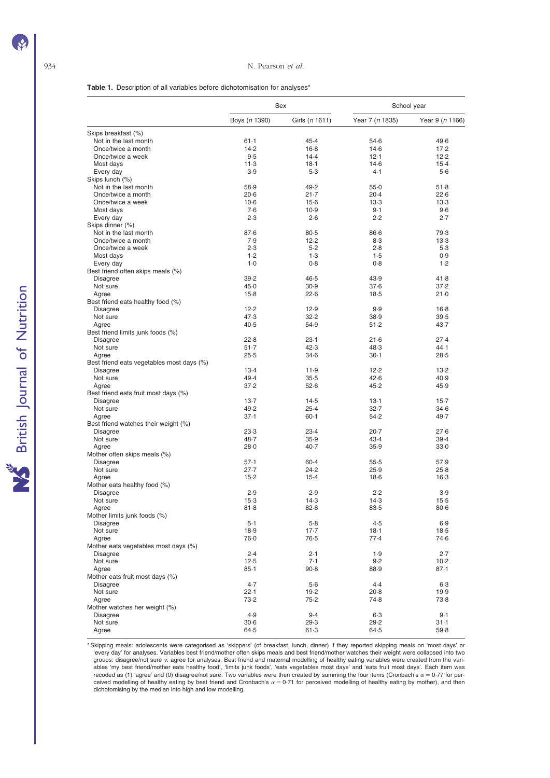#### Table 1. Description of all variables before dichotomisation for analyses<sup>\*</sup>

|                                             |               | Sex              | School year     |                 |  |
|---------------------------------------------|---------------|------------------|-----------------|-----------------|--|
|                                             | Boys (n 1390) | Girls (n 1611)   | Year 7 (n 1835) | Year 9 (n 1166) |  |
| Skips breakfast (%)                         |               |                  |                 |                 |  |
| Not in the last month                       | $61-1$        | 45.4             | 54.6            | 49.6            |  |
| Once/twice a month                          | 14.2          | $16-8$           | $14-6$          | 17.2            |  |
| Once/twice a week                           | 9.5           | 14.4             | 12.1            | 12.2            |  |
| Most days                                   | 11.3          | $18-1$           | $14-6$          | $15-4$          |  |
| Every day                                   | 3.9           | $5-3$            | 4.1             | $5-6$           |  |
| Skips lunch (%)                             |               |                  |                 |                 |  |
| Not in the last month<br>Once/twice a month | 58.9<br>20.6  | 49.2<br>$21 - 7$ | 55.0<br>20.4    | 51.8<br>22.6    |  |
| Once/twice a week                           | $10-6$        | $15-6$           | $13-3$          | 13.3            |  |
| Most days                                   | 7.6           | 10.9             | 9.1             | 9.6             |  |
| Every day                                   | 2.3           | 2.6              | 2.2             | 2.7             |  |
| Skips dinner (%)                            |               |                  |                 |                 |  |
| Not in the last month                       | 87.6          | 80.5             | $86 - 6$        | 79.3            |  |
| Once/twice a month                          | 7.9           | 12.2             | 8.3             | 13.3            |  |
| Once/twice a week                           | 2.3           | $5-2$            | 2.8             | $5-3$           |  |
| Most days                                   | 1.2           | 1.3              | 1.5             | 0.9             |  |
| Every day                                   | $1-0$         | 0.8              | 0.8             | 1.2             |  |
| Best friend often skips meals (%)           |               |                  |                 |                 |  |
| <b>Disagree</b>                             | 39.2          | 46.5             | 43.9            | 41.8            |  |
| Not sure                                    | 45.0          | 30.9             | 37.6            | 37.2            |  |
| Agree                                       | $15-8$        | 22.6             | $18-5$          | 21.0            |  |
| Best friend eats healthy food (%)           |               |                  |                 |                 |  |
| Disagree                                    | 12.2          | 12.9             | 9.9             | $16-8$          |  |
| Not sure                                    | 47.3          | 32.2             | 38.9            | 39.5            |  |
| Agree                                       | 40.5          | 54.9             | 51.2            | 43.7            |  |
| Best friend limits junk foods (%)           | 22.8          | $23-1$           | 21.6            | 27.4            |  |
| <b>Disagree</b><br>Not sure                 | 51.7          | 42.3             | 48.3            | 44.1            |  |
| Agree                                       | $25-5$        | $34 - 6$         | $30-1$          | 28.5            |  |
| Best friend eats vegetables most days (%)   |               |                  |                 |                 |  |
| Disagree                                    | $13-4$        | 11.9             | 12.2            | 13.2            |  |
| Not sure                                    | 49.4          | 35.5             | 42.6            | 40.9            |  |
| Agree                                       | 37.2          | 52.6             | 45.2            | 45.9            |  |
| Best friend eats fruit most days (%)        |               |                  |                 |                 |  |
| <b>Disagree</b>                             | $13-7$        | $14-5$           | $13-1$          | $15-7$          |  |
| Not sure                                    | 49.2          | 25.4             | 32.7            | $34-6$          |  |
| Agree                                       | 37.1          | $60 - 1$         | 54.2            | 49.7            |  |
| Best friend watches their weight (%)        |               |                  |                 |                 |  |
| <b>Disagree</b>                             | 23.3          | 23.4             | $20 - 7$        | 27.6            |  |
| Not sure                                    | 48.7          | 35.9             | 43.4            | 39.4            |  |
| Agree                                       | 28.0          | $40-7$           | 35.9            | 33.0            |  |
| Mother often skips meals (%)                |               |                  |                 |                 |  |
| <b>Disagree</b>                             | 57.1          | $60 - 4$         | $55-5$          | 57.9            |  |
| Not sure                                    | $27 - 7$      | 24.2             | 25.9            | 25.8            |  |
| Agree                                       | $15-2$        | $15-4$           | $18-6$          | $16-3$          |  |
| Mother eats healthy food (%)<br>Disagree    | 2.9           | 2.9              | 2.2             | 3.9             |  |
| Not sure                                    | $15-3$        | 14.3             | 14.3            | $15-5$          |  |
| Agree                                       | 81.8          | 82.8             | 83.5            | $80 - 6$        |  |
| Mother limits junk foods (%)                |               |                  |                 |                 |  |
| Disagree                                    | $5 - 1$       | $5-8$            | 4.5             | 6.9             |  |
| Not sure                                    | 18.9          | $17-7$           | $18-1$          | $18-5$          |  |
| Agree                                       | 76.0          | $76-5$           | 77.4            | 74.6            |  |
| Mother eats vegetables most days (%)        |               |                  |                 |                 |  |
| <b>Disagree</b>                             | 2.4           | 2.1              | 1.9             | 2.7             |  |
| Not sure                                    | $12-5$        | 7.1              | 9.2             | $10-2$          |  |
| Agree                                       | $85 - 1$      | $90-8$           | 88.9            | 87.1            |  |
| Mother eats fruit most days (%)             |               |                  |                 |                 |  |
| Disagree                                    | 4.7           | 5·6              | 4.4             | $6-3$           |  |
| Not sure                                    | 22.1          | 19.2             | 20.8            | 19.9            |  |
| Agree                                       | 73.2          | 75.2             | 74.8            | 73.8            |  |
| Mother watches her weight (%)               |               |                  |                 |                 |  |
| Disagree                                    | 4.9           | 9.4              | $6-3$           | 9.1             |  |
| Not sure                                    | $30 - 6$      | 29.3             | 29.2            | $31 - 1$        |  |
| Agree                                       | 64.5          | 61.3             | 64.5            | 59.8            |  |

Skipping meals: adolescents were categorised as 'skippers' (of breakfast, lunch, dinner) if they reported skipping meals on 'most days' or\* "\$<br>every day' for analyses. Variables best friend/mother often skips meals and bes groups: disagree/not sure v. agree for analyses. Best friend and maternal modelling of healthy eating variables were created from the variables 'my best friend/mother eats healthy food', 'limits junk foods', 'eats vegetables most days' and 'eats fruit most days'. Each item was<br>recoded as (1) 'agree' and (0) disagree/not sure. Two variables were then created ceived modelling of healthy eating by best friend and Cronbach's  $\alpha$  = 0·71 for perceived modelling of healthy eating by mother), and then<br>dichotomising by the median into high and low modelling.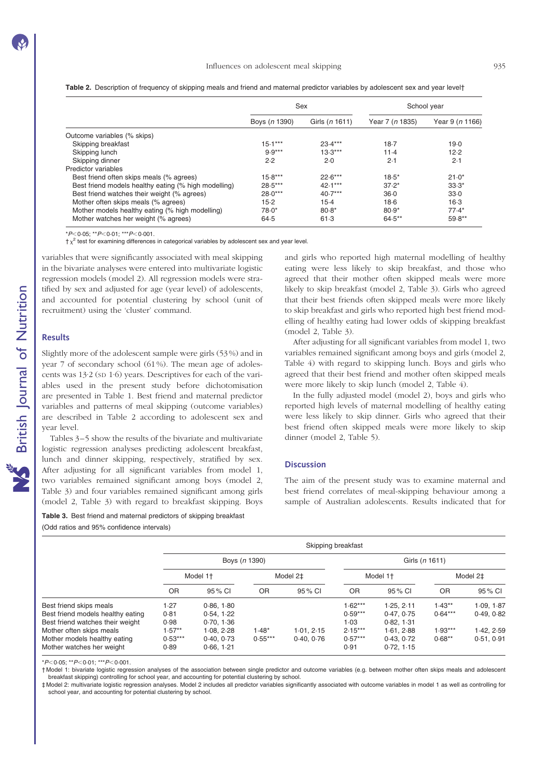|                                                      |               | Sex            | School year     |                 |  |
|------------------------------------------------------|---------------|----------------|-----------------|-----------------|--|
|                                                      | Boys (n 1390) | Girls (n 1611) | Year 7 (n 1835) | Year 9 (n 1166) |  |
| Outcome variables (% skips)                          |               |                |                 |                 |  |
| Skipping breakfast                                   | $15.1***$     | $23.4***$      | 18.7            | 19.0            |  |
| Skipping lunch                                       | $9.9***$      | $13.3***$      | 11.4            | 12.2            |  |
| Skipping dinner                                      | 2.2           | $2-0$          | 2.1             | 2.1             |  |
| Predictor variables                                  |               |                |                 |                 |  |
| Best friend often skips meals (% agrees)             | $15.8***$     | $22.6***$      | $18.5*$         | $21.0*$         |  |
| Best friend models healthy eating (% high modelling) | $28.5***$     | $42.1***$      | $37.2*$         | $33.3*$         |  |
| Best friend watches their weight (% agrees)          | $28.0***$     | $40.7***$      | $36-0$          | 33.0            |  |
| Mother often skips meals (% agrees)                  | $15-2$        | $15-4$         | $18-6$          | $16-3$          |  |
| Mother models healthy eating (% high modelling)      | $78.0*$       | $80.8*$        | $80.9*$         | $77.4*$         |  |
| Mother watches her weight (% agrees)                 | 64.5          | 61.3           | $64.5***$       | $59.8**$        |  |

Table 2. Description of frequency of skipping meals and friend and maternal predictor variables by adolescent sex and year levelt

 $*P<0.05$ ;  $*P<0.01$ ;  $*+P<0.001$ .

 $\frac{1}{x^2}$  test for examining differences in categorical variables by adolescent sex and year level.

variables that were significantly associated with meal skipping in the bivariate analyses were entered into multivariate logistic regression models (model 2). All regression models were stratified by sex and adjusted for age (year level) of adolescents, and accounted for potential clustering by school (unit of recruitment) using the 'cluster' command.

#### **Results**

Slightly more of the adolescent sample were girls (53 %) and in year 7 of secondary school (61%). The mean age of adolescents was 13·2 (SD 1·6) years. Descriptives for each of the variables used in the present study before dichotomisation are presented in Table 1. Best friend and maternal predictor variables and patterns of meal skipping (outcome variables) are described in Table 2 according to adolescent sex and year level.

Tables 3–5 show the results of the bivariate and multivariate logistic regression analyses predicting adolescent breakfast, lunch and dinner skipping, respectively, stratified by sex. After adjusting for all significant variables from model 1, two variables remained significant among boys (model 2, Table 3) and four variables remained significant among girls (model 2, Table 3) with regard to breakfast skipping. Boys

Table 3. Best friend and maternal predictors of skipping breakfast

(Odd ratios and 95% confidence intervals)

and girls who reported high maternal modelling of healthy eating were less likely to skip breakfast, and those who agreed that their mother often skipped meals were more likely to skip breakfast (model 2, Table 3). Girls who agreed that their best friends often skipped meals were more likely to skip breakfast and girls who reported high best friend modelling of healthy eating had lower odds of skipping breakfast (model 2, Table 3).

After adjusting for all significant variables from model 1, two variables remained significant among boys and girls (model 2, Table 4) with regard to skipping lunch. Boys and girls who agreed that their best friend and mother often skipped meals were more likely to skip lunch (model 2, Table 4).

In the fully adjusted model (model 2), boys and girls who reported high levels of maternal modelling of healthy eating were less likely to skip dinner. Girls who agreed that their best friend often skipped meals were more likely to skip dinner (model 2, Table 5).

#### **Discussion**

The aim of the present study was to examine maternal and best friend correlates of meal-skipping behaviour among a sample of Australian adolescents. Results indicated that for

|                                   | Skipping breakfast   |            |           |            |                      |            |                      |            |
|-----------------------------------|----------------------|------------|-----------|------------|----------------------|------------|----------------------|------------|
|                                   | Boys (n 1390)        |            |           |            | Girls (n 1611)       |            |                      |            |
|                                   | Model 1 <sup>+</sup> |            | Model 2‡  |            | Model 1 <sup>+</sup> |            | Model 2 <sup>+</sup> |            |
|                                   | <b>OR</b>            | 95 % CI    | <b>OR</b> | 95 % CI    | <b>OR</b>            | 95 % CI    | <b>OR</b>            | 95 % CI    |
| Best friend skips meals           | 1.27                 | 0.86, 1.80 |           |            | $1.62***$            | 1.25.2.11  | $1.43**$             | 1.09, 1.87 |
| Best friend models healthy eating | 0.81                 | 0.54.1.22  |           |            | $0.59***$            | 0.47, 0.75 | $0.64***$            | 0.49.0.82  |
| Best friend watches their weight  | 0.98                 | 0.70, 1.36 |           |            | 1.03                 | 0.82.1.31  |                      |            |
| Mother often skips meals          | $1.57**$             | 1.08.2.28  | $1.48*$   | 1.01.2.15  | $2.15***$            | 1.61.2.88  | $1.93***$            | 1.42, 2.59 |
| Mother models healthy eating      | $0.53***$            | 0.40.0.73  | $0.55***$ | 0.40, 0.76 | $0.57***$            | 0.43, 0.72 | $0.68**$             | 0.51.0.91  |
| Mother watches her weight         | 0.89                 | 0.66, 1.21 |           |            | 0.91                 | 0.72, 1.15 |                      |            |

 $*P<0.05$ ;  $*P<0.01$ ;  $**P<0.001$ .

† Model 1: bivariate logistic regression analyses of the association between single predictor and outcome variables (e.g. between mother often skips meals and adolescent breakfast skipping) controlling for school year, and accounting for potential clustering by school.

‡ Model 2: multivariate logistic regression analyses. Model 2 includes all predictor variables significantly associated with outcome variables in model 1 as well as controlling for school year, and accounting for potential clustering by school.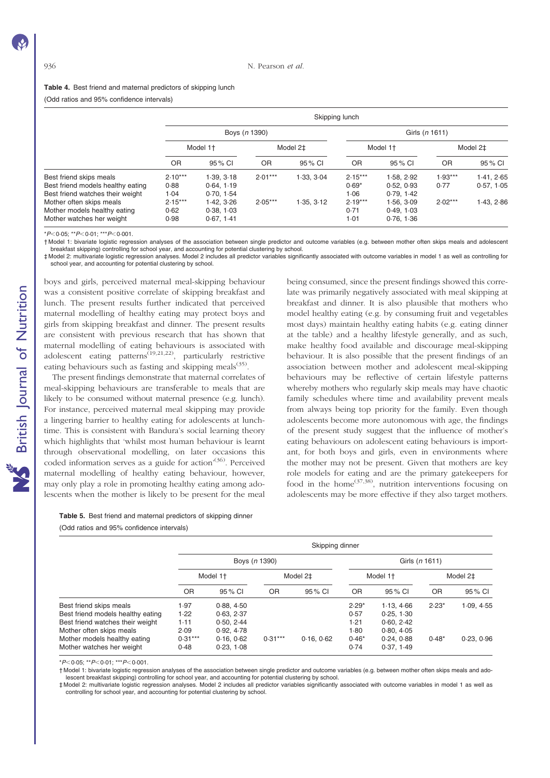#### Table 4. Best friend and maternal predictors of skipping lunch

(Odd ratios and 95% confidence intervals)

|                                   | Skipping lunch       |               |                      |            |                      |                |           |            |  |
|-----------------------------------|----------------------|---------------|----------------------|------------|----------------------|----------------|-----------|------------|--|
|                                   |                      | Boys (n 1390) |                      |            |                      | Girls (n 1611) |           |            |  |
|                                   | Model 1 <sup>+</sup> |               | Model 2 <sup>+</sup> |            | Model 1 <sup>+</sup> |                | Model 2‡  |            |  |
|                                   | <b>OR</b>            | 95 % CI       | <b>OR</b>            | 95 % CI    | <b>OR</b>            | 95 % CI        | OR        | 95 % CI    |  |
| Best friend skips meals           | $2.10***$            | 1.39.3.18     | $2.01***$            | 1.33.3.04  | $2.15***$            | 1.58.2.92      | $1.93***$ | 1.41, 2.65 |  |
| Best friend models healthy eating | 0.88                 | 0.64.1.19     |                      |            | $0.69*$              | 0.52, 0.93     | 0.77      | 0.57.105   |  |
| Best friend watches their weight  | 1.04                 | 0.70, 1.54    |                      |            | 1.06                 | 0.79.142       |           |            |  |
| Mother often skips meals          | $2.15***$            | 1.42.3.26     | $2.05***$            | 1.35, 3.12 | $2.19***$            | 1.56.3.09      | $2.02***$ | 1.43, 2.86 |  |
| Mother models healthy eating      | 0.62                 | 0.38, 1.03    |                      |            | 0.71                 | 0.49.103       |           |            |  |
| Mother watches her weight         | 0.98                 | 0.67.1.41     |                      |            | 1.01                 | 0.76, 1.36     |           |            |  |

 $*P<0.05$ ;  $*P<0.01$ ;  $**P<0.001$ 

† Model 1: bivariate logistic regression analyses of the association between single predictor and outcome variables (e.g. between mother often skips meals and adolescent breakfast skipping) controlling for school year, and accounting for potential clustering by school.

‡ Model 2: multivariate logistic regression analyses. Model 2 includes all predictor variables significantly associated with outcome variables in model 1 as well as controlling for school year, and accounting for potential clustering by school.

boys and girls, perceived maternal meal-skipping behaviour was a consistent positive correlate of skipping breakfast and lunch. The present results further indicated that perceived maternal modelling of healthy eating may protect boys and girls from skipping breakfast and dinner. The present results are consistent with previous research that has shown that maternal modelling of eating behaviours is associated with adolescent eating patterns<sup> $(19,21,22)$ </sup>, particularly restrictive eating behaviours such as fasting and skipping meals $(35)$ .

The present findings demonstrate that maternal correlates of meal-skipping behaviours are transferable to meals that are likely to be consumed without maternal presence (e.g. lunch). For instance, perceived maternal meal skipping may provide a lingering barrier to healthy eating for adolescents at lunchtime. This is consistent with Bandura's social learning theory which highlights that 'whilst most human behaviour is learnt through observational modelling, on later occasions this coded information serves as a guide for action<sup>'(36)</sup>. Perceived maternal modelling of healthy eating behaviour, however, may only play a role in promoting healthy eating among adolescents when the mother is likely to be present for the meal

being consumed, since the present findings showed this correlate was primarily negatively associated with meal skipping at breakfast and dinner. It is also plausible that mothers who model healthy eating (e.g. by consuming fruit and vegetables most days) maintain healthy eating habits (e.g. eating dinner at the table) and a healthy lifestyle generally, and as such, make healthy food available and discourage meal-skipping behaviour. It is also possible that the present findings of an association between mother and adolescent meal-skipping behaviours may be reflective of certain lifestyle patterns whereby mothers who regularly skip meals may have chaotic family schedules where time and availability prevent meals from always being top priority for the family. Even though adolescents become more autonomous with age, the findings of the present study suggest that the influence of mother's eating behaviours on adolescent eating behaviours is important, for both boys and girls, even in environments where the mother may not be present. Given that mothers are key role models for eating and are the primary gatekeepers for food in the home<sup> $(37,38)$ </sup>, nutrition interventions focusing on adolescents may be more effective if they also target mothers.

Table 5. Best friend and maternal predictors of skipping dinner (Odd ratios and 95% confidence intervals)

|                                                                                                                              |                              | Skipping dinner                                      |                      |          |                                   |                                                    |           |            |  |
|------------------------------------------------------------------------------------------------------------------------------|------------------------------|------------------------------------------------------|----------------------|----------|-----------------------------------|----------------------------------------------------|-----------|------------|--|
|                                                                                                                              |                              | Boys (n 1390)                                        |                      |          |                                   | Girls (n 1611)                                     |           |            |  |
|                                                                                                                              | Model 1 <sup>+</sup>         |                                                      | Model 2 <sup>+</sup> |          | Model 1 <sup>+</sup>              |                                                    | Model 2‡  |            |  |
|                                                                                                                              | <b>OR</b>                    | 95 % CI                                              | <b>OR</b>            | 95 % CI  | 0R                                | 95 % CI                                            | <b>OR</b> | 95 % CI    |  |
| Best friend skips meals<br>Best friend models healthy eating<br>Best friend watches their weight<br>Mother often skips meals | 1.97<br>1.22<br>1.11<br>2.09 | 0.88, 4.50<br>0.63, 2.37<br>0.50, 2.44<br>0.92, 4.78 |                      |          | $2.29*$<br>0.57<br>1.21<br>$1-80$ | 1.13.466<br>0.25, 1.30<br>0.60, 2.42<br>0.80, 4.05 | $2.23*$   | 1.09, 4.55 |  |
| Mother models healthy eating<br>Mother watches her weight                                                                    | $0.31***$<br>0.48            | 0.16, 0.62<br>0.23, 1.08                             | $0.31***$            | 0.16.062 | $0.46*$<br>0.74                   | 0.24.0.88<br>0.37, 1.49                            | $0.48*$   | 0.23, 0.96 |  |

 $*P<0.05$ ;  $*P<0.01$ ;  $*P<0.001$ 

† Model 1: bivariate logistic regression analyses of the association between single predictor and outcome variables (e.g. between mother often skips meals and adolescent breakfast skipping) controlling for school year, and accounting for potential clustering by school.

‡ Model 2: multivariate logistic regression analyses. Model 2 includes all predictor variables significantly associated with outcome variables in model 1 as well as controlling for school year, and accounting for potential clustering by school.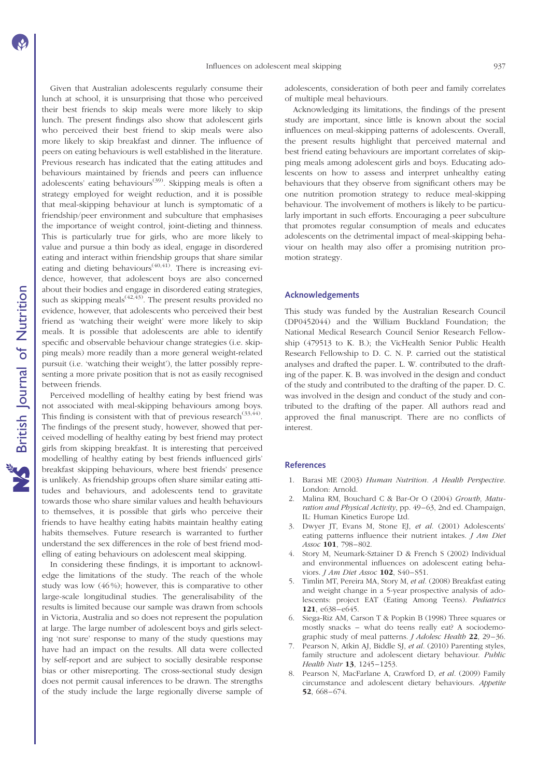Given that Australian adolescents regularly consume their lunch at school, it is unsurprising that those who perceived their best friends to skip meals were more likely to skip lunch. The present findings also show that adolescent girls who perceived their best friend to skip meals were also more likely to skip breakfast and dinner. The influence of peers on eating behaviours is well established in the literature. Previous research has indicated that the eating attitudes and behaviours maintained by friends and peers can influence adolescents' eating behaviours<sup>(39)</sup>. Skipping meals is often a strategy employed for weight reduction, and it is possible that meal-skipping behaviour at lunch is symptomatic of a friendship/peer environment and subculture that emphasises the importance of weight control, joint-dieting and thinness. This is particularly true for girls, who are more likely to value and pursue a thin body as ideal, engage in disordered eating and interact within friendship groups that share similar eating and dieting behaviours<sup> $(40,41)$ </sup>. There is increasing evidence, however, that adolescent boys are also concerned about their bodies and engage in disordered eating strategies, such as skipping meals  $(42,43)$ . The present results provided no evidence, however, that adolescents who perceived their best friend as 'watching their weight' were more likely to skip meals. It is possible that adolescents are able to identify specific and observable behaviour change strategies (i.e. skipping meals) more readily than a more general weight-related pursuit (i.e. 'watching their weight'), the latter possibly representing a more private position that is not as easily recognised between friends.

Perceived modelling of healthy eating by best friend was not associated with meal-skipping behaviours among boys. This finding is consistent with that of previous research<sup>(33,44)</sup>. The findings of the present study, however, showed that perceived modelling of healthy eating by best friend may protect girls from skipping breakfast. It is interesting that perceived modelling of healthy eating by best friends influenced girls' breakfast skipping behaviours, where best friends' presence is unlikely. As friendship groups often share similar eating attitudes and behaviours, and adolescents tend to gravitate towards those who share similar values and health behaviours to themselves, it is possible that girls who perceive their friends to have healthy eating habits maintain healthy eating habits themselves. Future research is warranted to further understand the sex differences in the role of best friend modelling of eating behaviours on adolescent meal skipping.

In considering these findings, it is important to acknowledge the limitations of the study. The reach of the whole study was low (46 %); however, this is comparative to other large-scale longitudinal studies. The generalisability of the results is limited because our sample was drawn from schools in Victoria, Australia and so does not represent the population at large. The large number of adolescent boys and girls selecting 'not sure' response to many of the study questions may have had an impact on the results. All data were collected by self-report and are subject to socially desirable response bias or other misreporting. The cross-sectional study design does not permit causal inferences to be drawn. The strengths of the study include the large regionally diverse sample of adolescents, consideration of both peer and family correlates of multiple meal behaviours.

Acknowledging its limitations, the findings of the present study are important, since little is known about the social influences on meal-skipping patterns of adolescents. Overall, the present results highlight that perceived maternal and best friend eating behaviours are important correlates of skipping meals among adolescent girls and boys. Educating adolescents on how to assess and interpret unhealthy eating behaviours that they observe from significant others may be one nutrition promotion strategy to reduce meal-skipping behaviour. The involvement of mothers is likely to be particularly important in such efforts. Encouraging a peer subculture that promotes regular consumption of meals and educates adolescents on the detrimental impact of meal-skipping behaviour on health may also offer a promising nutrition promotion strategy.

#### Acknowledgements

This study was funded by the Australian Research Council (DP0452044) and the William Buckland Foundation; the National Medical Research Council Senior Research Fellowship (479513 to K. B.); the VicHealth Senior Public Health Research Fellowship to D. C. N. P. carried out the statistical analyses and drafted the paper. L. W. contributed to the drafting of the paper. K. B. was involved in the design and conduct of the study and contributed to the drafting of the paper. D. C. was involved in the design and conduct of the study and contributed to the drafting of the paper. All authors read and approved the final manuscript. There are no conflicts of interest.

#### References

- 1. Barasi ME (2003) Human Nutrition. A Health Perspective. London: Arnold.
- 2. Malina RM, Bouchard C & Bar-Or O (2004) Growth, Maturation and Physical Activity, pp. 49–63, 2nd ed. Champaign, IL: Human Kinetics Europe Ltd.
- Dwyer JT, Evans M, Stone EJ, et al. (2001) Adolescents' eating patterns influence their nutrient intakes. *J Am Diet* Assoc 101, 798-802.
- 4. Story M, Neumark-Sztainer D & French S (2002) Individual and environmental influences on adolescent eating behaviors. J Am Diet Assoc 102, S40-S51.
- 5. Timlin MT, Pereira MA, Story M, et al. (2008) Breakfast eating and weight change in a 5-year prospective analysis of adolescents: project EAT (Eating Among Teens). Pediatrics 121. e<sub>638</sub>-e<sub>645</sub>.
- 6. Siega-Riz AM, Carson T & Popkin B (1998) Three squares or mostly snacks – what do teens really eat? A sociodemographic study of meal patterns. *J Adolesc Health* 22, 29-36.
- Pearson N, Atkin AJ, Biddle SJ, et al. (2010) Parenting styles, family structure and adolescent dietary behaviour. Public Health Nutr 13, 1245-1253.
- 8. Pearson N, MacFarlane A, Crawford D, et al. (2009) Family circumstance and adolescent dietary behaviours. Appetite 52, 668 – 674.